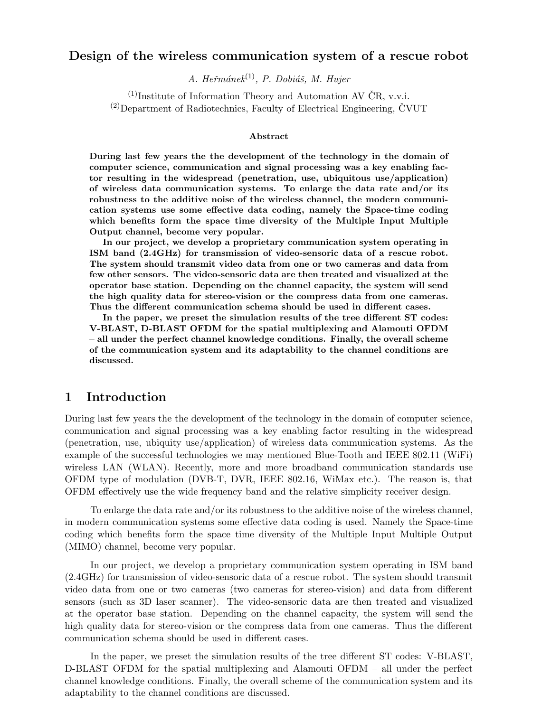## Design of the wireless communication system of a rescue robot

A. Heřmáne $k^{(1)}$ , P. Dobiáš, M. Hujer

 $(1)$ Institute of Information Theory and Automation AV ČR, v.v.i.  $^{(2)}$ Department of Radiotechnics, Faculty of Electrical Engineering, ČVUT

#### Abstract

During last few years the the development of the technology in the domain of computer science, communication and signal processing was a key enabling factor resulting in the widespread (penetration, use, ubiquitous use/application) of wireless data communication systems. To enlarge the data rate and/or its robustness to the additive noise of the wireless channel, the modern communication systems use some effective data coding, namely the Space-time coding which benefits form the space time diversity of the Multiple Input Multiple Output channel, become very popular.

In our project, we develop a proprietary communication system operating in ISM band (2.4GHz) for transmission of video-sensoric data of a rescue robot. The system should transmit video data from one or two cameras and data from few other sensors. The video-sensoric data are then treated and visualized at the operator base station. Depending on the channel capacity, the system will send the high quality data for stereo-vision or the compress data from one cameras. Thus the different communication schema should be used in different cases.

In the paper, we preset the simulation results of the tree different ST codes: V-BLAST, D-BLAST OFDM for the spatial multiplexing and Alamouti OFDM – all under the perfect channel knowledge conditions. Finally, the overall scheme of the communication system and its adaptability to the channel conditions are discussed.

### 1 Introduction

During last few years the the development of the technology in the domain of computer science, communication and signal processing was a key enabling factor resulting in the widespread (penetration, use, ubiquity use/application) of wireless data communication systems. As the example of the successful technologies we may mentioned Blue-Tooth and IEEE 802.11 (WiFi) wireless LAN (WLAN). Recently, more and more broadband communication standards use OFDM type of modulation (DVB-T, DVR, IEEE 802.16, WiMax etc.). The reason is, that OFDM effectively use the wide frequency band and the relative simplicity receiver design.

To enlarge the data rate and/or its robustness to the additive noise of the wireless channel, in modern communication systems some effective data coding is used. Namely the Space-time coding which benefits form the space time diversity of the Multiple Input Multiple Output (MIMO) channel, become very popular.

In our project, we develop a proprietary communication system operating in ISM band (2.4GHz) for transmission of video-sensoric data of a rescue robot. The system should transmit video data from one or two cameras (two cameras for stereo-vision) and data from different sensors (such as 3D laser scanner). The video-sensoric data are then treated and visualized at the operator base station. Depending on the channel capacity, the system will send the high quality data for stereo-vision or the compress data from one cameras. Thus the different communication schema should be used in different cases.

In the paper, we preset the simulation results of the tree different ST codes: V-BLAST, D-BLAST OFDM for the spatial multiplexing and Alamouti OFDM – all under the perfect channel knowledge conditions. Finally, the overall scheme of the communication system and its adaptability to the channel conditions are discussed.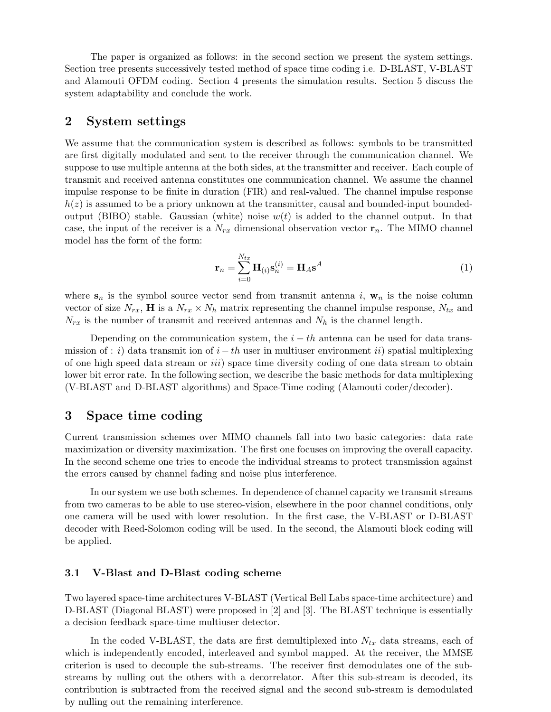The paper is organized as follows: in the second section we present the system settings. Section tree presents successively tested method of space time coding i.e. D-BLAST, V-BLAST and Alamouti OFDM coding. Section 4 presents the simulation results. Section 5 discuss the system adaptability and conclude the work.

### 2 System settings

We assume that the communication system is described as follows: symbols to be transmitted are first digitally modulated and sent to the receiver through the communication channel. We suppose to use multiple antenna at the both sides, at the transmitter and receiver. Each couple of transmit and received antenna constitutes one communication channel. We assume the channel impulse response to be finite in duration (FIR) and real-valued. The channel impulse response  $h(z)$  is assumed to be a priory unknown at the transmitter, causal and bounded-input boundedoutput (BIBO) stable. Gaussian (white) noise  $w(t)$  is added to the channel output. In that case, the input of the receiver is a  $N_{rx}$  dimensional observation vector  $\mathbf{r}_n$ . The MIMO channel model has the form of the form:

$$
\mathbf{r}_n = \sum_{i=0}^{N_{tx}} \mathbf{H}_{(i)} \mathbf{s}_n^{(i)} = \mathbf{H}_A \mathbf{s}^A
$$
 (1)

where  $s_n$  is the symbol source vector send from transmit antenna i,  $w_n$  is the noise column vector of size  $N_{rx}$ , **H** is a  $N_{rx} \times N_h$  matrix representing the channel impulse response,  $N_{tx}$  and  $N_{rx}$  is the number of transmit and received antennas and  $N_h$  is the channel length.

Depending on the communication system, the  $i - th$  antenna can be used for data transmission of : i) data transmit ion of  $i - th$  user in multiuser environment ii) spatial multiplexing of one high speed data stream or iii) space time diversity coding of one data stream to obtain lower bit error rate. In the following section, we describe the basic methods for data multiplexing (V-BLAST and D-BLAST algorithms) and Space-Time coding (Alamouti coder/decoder).

### 3 Space time coding

Current transmission schemes over MIMO channels fall into two basic categories: data rate maximization or diversity maximization. The first one focuses on improving the overall capacity. In the second scheme one tries to encode the individual streams to protect transmission against the errors caused by channel fading and noise plus interference.

In our system we use both schemes. In dependence of channel capacity we transmit streams from two cameras to be able to use stereo-vision, elsewhere in the poor channel conditions, only one camera will be used with lower resolution. In the first case, the V-BLAST or D-BLAST decoder with Reed-Solomon coding will be used. In the second, the Alamouti block coding will be applied.

#### 3.1 V-Blast and D-Blast coding scheme

Two layered space-time architectures V-BLAST (Vertical Bell Labs space-time architecture) and D-BLAST (Diagonal BLAST) were proposed in [2] and [3]. The BLAST technique is essentially a decision feedback space-time multiuser detector.

In the coded V-BLAST, the data are first demultiplexed into  $N_{tx}$  data streams, each of which is independently encoded, interleaved and symbol mapped. At the receiver, the MMSE criterion is used to decouple the sub-streams. The receiver first demodulates one of the substreams by nulling out the others with a decorrelator. After this sub-stream is decoded, its contribution is subtracted from the received signal and the second sub-stream is demodulated by nulling out the remaining interference.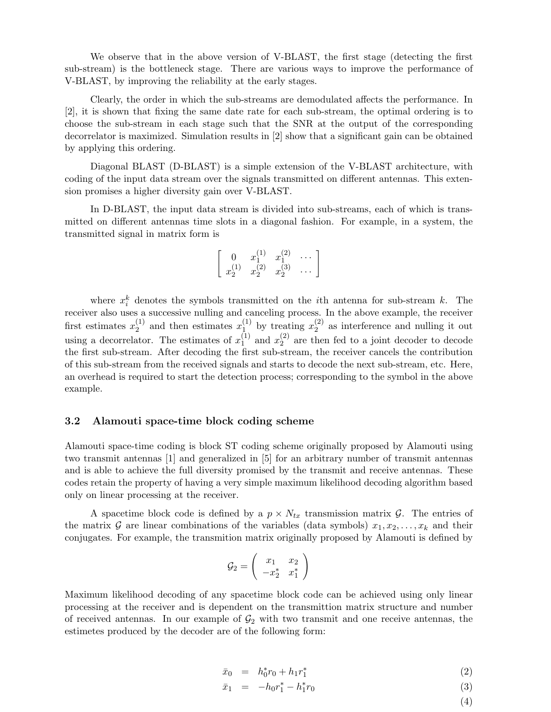We observe that in the above version of V-BLAST, the first stage (detecting the first sub-stream) is the bottleneck stage. There are various ways to improve the performance of V-BLAST, by improving the reliability at the early stages.

Clearly, the order in which the sub-streams are demodulated affects the performance. In [2], it is shown that fixing the same date rate for each sub-stream, the optimal ordering is to choose the sub-stream in each stage such that the SNR at the output of the corresponding decorrelator is maximized. Simulation results in [2] show that a significant gain can be obtained by applying this ordering.

Diagonal BLAST (D-BLAST) is a simple extension of the V-BLAST architecture, with coding of the input data stream over the signals transmitted on different antennas. This extension promises a higher diversity gain over V-BLAST.

In D-BLAST, the input data stream is divided into sub-streams, each of which is transmitted on different antennas time slots in a diagonal fashion. For example, in a system, the transmitted signal in matrix form is

$$
\left[\begin{array}{ccc} 0 & x_1^{(1)} & x_1^{(2)} & \cdots \\ x_2^{(1)} & x_2^{(2)} & x_2^{(3)} & \cdots \end{array}\right]
$$

where  $x_i^k$  denotes the symbols transmitted on the *i*th antenna for sub-stream k. The receiver also uses a successive nulling and canceling process. In the above example, the receiver first estimates  $x_2^{(1)}$  $x_2^{(1)}$  and then estimates  $x_1^{(1)}$  by treating  $x_2^{(2)}$  $2^{(2)}$  as interference and nulling it out using a decorrelator. The estimates of  $x_1^{(1)}$  $_1^{(1)}$  and  $x_2^{(2)}$  $_2^{(2)}$  are then fed to a joint decoder to decode the first sub-stream. After decoding the first sub-stream, the receiver cancels the contribution of this sub-stream from the received signals and starts to decode the next sub-stream, etc. Here, an overhead is required to start the detection process; corresponding to the symbol in the above example.

#### 3.2 Alamouti space-time block coding scheme

Alamouti space-time coding is block ST coding scheme originally proposed by Alamouti using two transmit antennas [1] and generalized in [5] for an arbitrary number of transmit antennas and is able to achieve the full diversity promised by the transmit and receive antennas. These codes retain the property of having a very simple maximum likelihood decoding algorithm based only on linear processing at the receiver.

A spacetime block code is defined by a  $p \times N_{tx}$  transmission matrix  $\mathcal{G}$ . The entries of the matrix G are linear combinations of the variables (data symbols)  $x_1, x_2, \ldots, x_k$  and their conjugates. For example, the transmition matrix originally proposed by Alamouti is defined by

$$
\mathcal{G}_2 = \left( \begin{array}{cc} x_1 & x_2 \\ -x_2^* & x_1^* \end{array} \right)
$$

Maximum likelihood decoding of any spacetime block code can be achieved using only linear processing at the receiver and is dependent on the transmittion matrix structure and number of received antennas. In our example of  $\mathcal{G}_2$  with two transmit and one receive antennas, the estimetes produced by the decoder are of the following form:

$$
\bar{x}_0 = h_0^* r_0 + h_1 r_1^* \tag{2}
$$

$$
\bar{x}_1 = -h_0 r_1^* - h_1^* r_0 \tag{3}
$$

(4)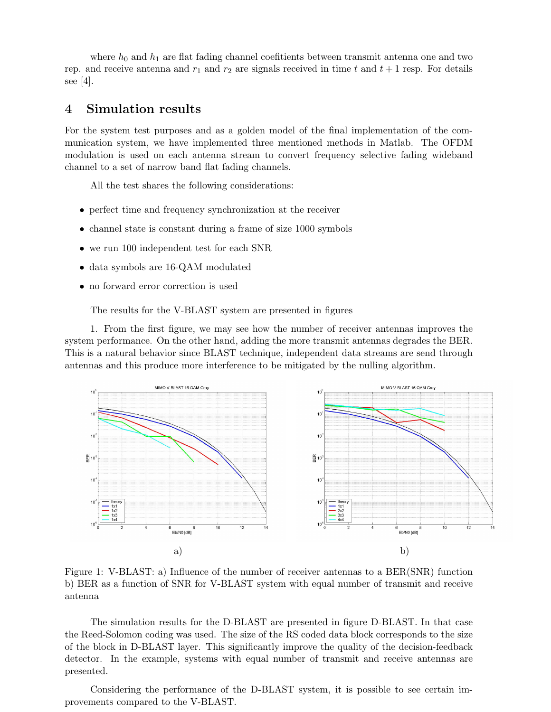where  $h_0$  and  $h_1$  are flat fading channel coefitients between transmit antenna one and two rep. and receive antenna and  $r_1$  and  $r_2$  are signals received in time t and  $t + 1$  resp. For details see [4].

### 4 Simulation results

For the system test purposes and as a golden model of the final implementation of the communication system, we have implemented three mentioned methods in Matlab. The OFDM modulation is used on each antenna stream to convert frequency selective fading wideband channel to a set of narrow band flat fading channels.

All the test shares the following considerations:

- perfect time and frequency synchronization at the receiver
- channel state is constant during a frame of size 1000 symbols
- we run 100 independent test for each SNR
- data symbols are 16-QAM modulated
- no forward error correction is used

The results for the V-BLAST system are presented in figures

1. From the first figure, we may see how the number of receiver antennas improves the system performance. On the other hand, adding the more transmit antennas degrades the BER. This is a natural behavior since BLAST technique, independent data streams are send through antennas and this produce more interference to be mitigated by the nulling algorithm.



Figure 1: V-BLAST: a) Influence of the number of receiver antennas to a BER(SNR) function b) BER as a function of SNR for V-BLAST system with equal number of transmit and receive antenna

The simulation results for the D-BLAST are presented in figure D-BLAST. In that case the Reed-Solomon coding was used. The size of the RS coded data block corresponds to the size of the block in D-BLAST layer. This significantly improve the quality of the decision-feedback detector. In the example, systems with equal number of transmit and receive antennas are presented.

Considering the performance of the D-BLAST system, it is possible to see certain improvements compared to the V-BLAST.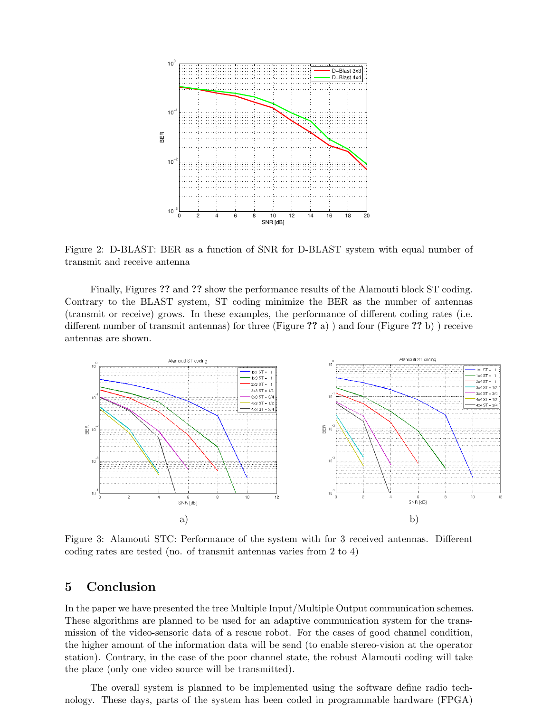

Figure 2: D-BLAST: BER as a function of SNR for D-BLAST system with equal number of transmit and receive antenna

Finally, Figures ?? and ?? show the performance results of the Alamouti block ST coding. Contrary to the BLAST system, ST coding minimize the BER as the number of antennas (transmit or receive) grows. In these examples, the performance of different coding rates (i.e. different number of transmit antennas) for three (Figure ?? a) ) and four (Figure ?? b) ) receive antennas are shown.



Figure 3: Alamouti STC: Performance of the system with for 3 received antennas. Different coding rates are tested (no. of transmit antennas varies from 2 to 4)

### 5 Conclusion

In the paper we have presented the tree Multiple Input/Multiple Output communication schemes. These algorithms are planned to be used for an adaptive communication system for the transmission of the video-sensoric data of a rescue robot. For the cases of good channel condition, the higher amount of the information data will be send (to enable stereo-vision at the operator station). Contrary, in the case of the poor channel state, the robust Alamouti coding will take the place (only one video source will be transmitted).

The overall system is planned to be implemented using the software define radio technology. These days, parts of the system has been coded in programmable hardware (FPGA)